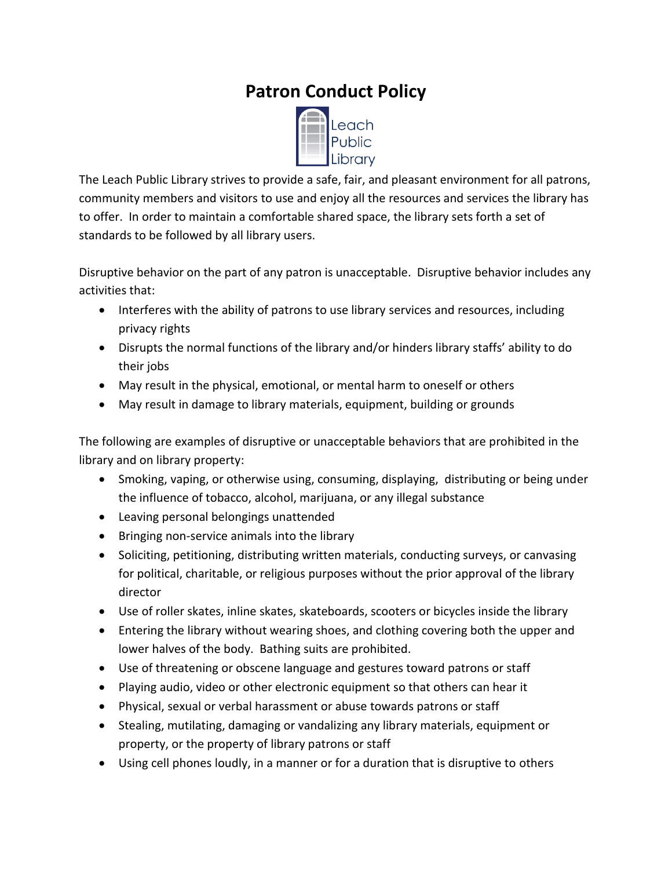## **Patron Conduct Policy**



The Leach Public Library strives to provide a safe, fair, and pleasant environment for all patrons, community members and visitors to use and enjoy all the resources and services the library has to offer. In order to maintain a comfortable shared space, the library sets forth a set of standards to be followed by all library users.

Disruptive behavior on the part of any patron is unacceptable. Disruptive behavior includes any activities that:

- Interferes with the ability of patrons to use library services and resources, including privacy rights
- Disrupts the normal functions of the library and/or hinders library staffs' ability to do their jobs
- May result in the physical, emotional, or mental harm to oneself or others
- May result in damage to library materials, equipment, building or grounds

The following are examples of disruptive or unacceptable behaviors that are prohibited in the library and on library property:

- Smoking, vaping, or otherwise using, consuming, displaying, distributing or being under the influence of tobacco, alcohol, marijuana, or any illegal substance
- Leaving personal belongings unattended
- Bringing non-service animals into the library
- Soliciting, petitioning, distributing written materials, conducting surveys, or canvasing for political, charitable, or religious purposes without the prior approval of the library director
- Use of roller skates, inline skates, skateboards, scooters or bicycles inside the library
- Entering the library without wearing shoes, and clothing covering both the upper and lower halves of the body. Bathing suits are prohibited.
- Use of threatening or obscene language and gestures toward patrons or staff
- Playing audio, video or other electronic equipment so that others can hear it
- Physical, sexual or verbal harassment or abuse towards patrons or staff
- Stealing, mutilating, damaging or vandalizing any library materials, equipment or property, or the property of library patrons or staff
- Using cell phones loudly, in a manner or for a duration that is disruptive to others